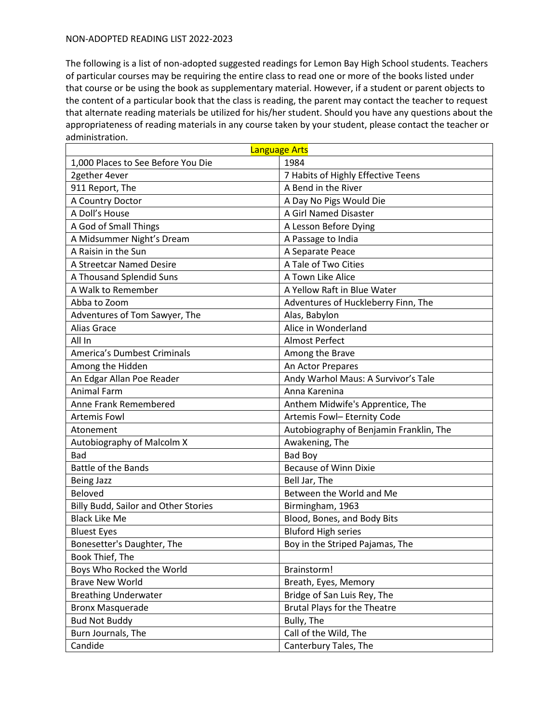| <b>Language Arts</b>                        |                                         |
|---------------------------------------------|-----------------------------------------|
| 1,000 Places to See Before You Die          | 1984                                    |
| 2gether 4ever                               | 7 Habits of Highly Effective Teens      |
| 911 Report, The                             | A Bend in the River                     |
| A Country Doctor                            | A Day No Pigs Would Die                 |
| A Doll's House                              | A Girl Named Disaster                   |
| A God of Small Things                       | A Lesson Before Dying                   |
| A Midsummer Night's Dream                   | A Passage to India                      |
| A Raisin in the Sun                         | A Separate Peace                        |
| A Streetcar Named Desire                    | A Tale of Two Cities                    |
| A Thousand Splendid Suns                    | A Town Like Alice                       |
| A Walk to Remember                          | A Yellow Raft in Blue Water             |
| Abba to Zoom                                | Adventures of Huckleberry Finn, The     |
| Adventures of Tom Sawyer, The               | Alas, Babylon                           |
| Alias Grace                                 | Alice in Wonderland                     |
| All In                                      | <b>Almost Perfect</b>                   |
| <b>America's Dumbest Criminals</b>          | Among the Brave                         |
| Among the Hidden                            | An Actor Prepares                       |
| An Edgar Allan Poe Reader                   | Andy Warhol Maus: A Survivor's Tale     |
| <b>Animal Farm</b>                          | Anna Karenina                           |
| Anne Frank Remembered                       | Anthem Midwife's Apprentice, The        |
| <b>Artemis Fowl</b>                         | Artemis Fowl- Eternity Code             |
| Atonement                                   | Autobiography of Benjamin Franklin, The |
| Autobiography of Malcolm X                  | Awakening, The                          |
| <b>Bad</b>                                  | <b>Bad Boy</b>                          |
| Battle of the Bands                         | <b>Because of Winn Dixie</b>            |
| <b>Being Jazz</b>                           | Bell Jar, The                           |
| Beloved                                     | Between the World and Me                |
| <b>Billy Budd, Sailor and Other Stories</b> | Birmingham, 1963                        |
| <b>Black Like Me</b>                        | Blood, Bones, and Body Bits             |
| <b>Bluest Eyes</b>                          | <b>Bluford High series</b>              |
| Bonesetter's Daughter, The                  | Boy in the Striped Pajamas, The         |
| Book Thief, The                             |                                         |
| Boys Who Rocked the World                   | Brainstorm!                             |
| <b>Brave New World</b>                      | Breath, Eyes, Memory                    |
| <b>Breathing Underwater</b>                 | Bridge of San Luis Rey, The             |
| <b>Bronx Masquerade</b>                     | <b>Brutal Plays for the Theatre</b>     |
| <b>Bud Not Buddy</b>                        | Bully, The                              |
| Burn Journals, The                          | Call of the Wild, The                   |
| Candide                                     | Canterbury Tales, The                   |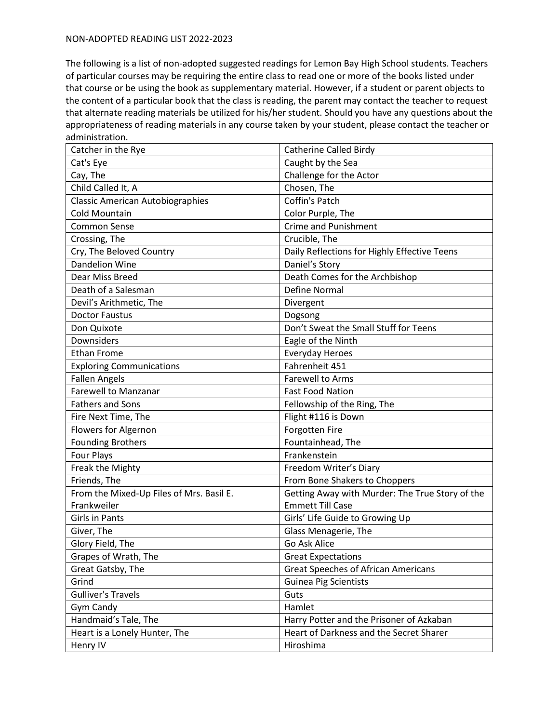| Catcher in the Rye                       | <b>Catherine Called Birdy</b>                   |
|------------------------------------------|-------------------------------------------------|
| Cat's Eye                                | Caught by the Sea                               |
| Cay, The                                 | Challenge for the Actor                         |
| Child Called It, A                       | Chosen, The                                     |
| <b>Classic American Autobiographies</b>  | Coffin's Patch                                  |
| <b>Cold Mountain</b>                     | Color Purple, The                               |
| <b>Common Sense</b>                      | <b>Crime and Punishment</b>                     |
| Crossing, The                            | Crucible, The                                   |
| Cry, The Beloved Country                 | Daily Reflections for Highly Effective Teens    |
| <b>Dandelion Wine</b>                    | Daniel's Story                                  |
| Dear Miss Breed                          | Death Comes for the Archbishop                  |
| Death of a Salesman                      | <b>Define Normal</b>                            |
| Devil's Arithmetic, The                  | Divergent                                       |
| <b>Doctor Faustus</b>                    | Dogsong                                         |
| Don Quixote                              | Don't Sweat the Small Stuff for Teens           |
| Downsiders                               | Eagle of the Ninth                              |
| <b>Ethan Frome</b>                       | Everyday Heroes                                 |
| <b>Exploring Communications</b>          | Fahrenheit 451                                  |
| <b>Fallen Angels</b>                     | <b>Farewell to Arms</b>                         |
| <b>Farewell to Manzanar</b>              | <b>Fast Food Nation</b>                         |
| <b>Fathers and Sons</b>                  | Fellowship of the Ring, The                     |
| Fire Next Time, The                      | Flight #116 is Down                             |
| Flowers for Algernon                     | Forgotten Fire                                  |
| <b>Founding Brothers</b>                 | Fountainhead, The                               |
| Four Plays                               | Frankenstein                                    |
| Freak the Mighty                         | Freedom Writer's Diary                          |
| Friends, The                             | From Bone Shakers to Choppers                   |
| From the Mixed-Up Files of Mrs. Basil E. | Getting Away with Murder: The True Story of the |
| Frankweiler                              | <b>Emmett Till Case</b>                         |
| <b>Girls in Pants</b>                    | Girls' Life Guide to Growing Up                 |
| Giver, The                               | Glass Menagerie, The                            |
| Glory Field, The                         | Go Ask Alice                                    |
| Grapes of Wrath, The                     | <b>Great Expectations</b>                       |
| Great Gatsby, The                        | <b>Great Speeches of African Americans</b>      |
| Grind                                    | <b>Guinea Pig Scientists</b>                    |
| <b>Gulliver's Travels</b>                | Guts                                            |
| Gym Candy                                | Hamlet                                          |
| Handmaid's Tale, The                     | Harry Potter and the Prisoner of Azkaban        |
| Heart is a Lonely Hunter, The            | Heart of Darkness and the Secret Sharer         |
| Henry IV                                 | Hiroshima                                       |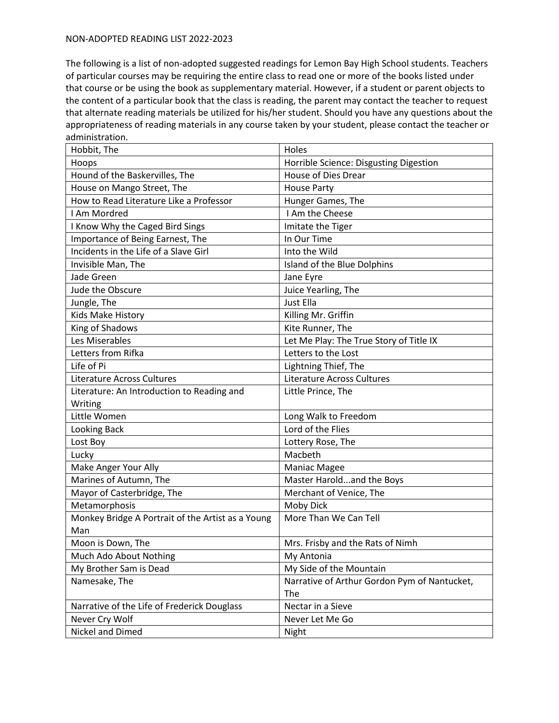| Hobbit, The                                       | Holes                                        |
|---------------------------------------------------|----------------------------------------------|
| Hoops                                             | Horrible Science: Disgusting Digestion       |
| Hound of the Baskervilles, The                    | House of Dies Drear                          |
| House on Mango Street, The                        | <b>House Party</b>                           |
| How to Read Literature Like a Professor           | Hunger Games, The                            |
| I Am Mordred                                      | I Am the Cheese                              |
| I Know Why the Caged Bird Sings                   | Imitate the Tiger                            |
| Importance of Being Earnest, The                  | In Our Time                                  |
| Incidents in the Life of a Slave Girl             | Into the Wild                                |
| Invisible Man, The                                | Island of the Blue Dolphins                  |
| Jade Green                                        | Jane Eyre                                    |
| Jude the Obscure                                  | Juice Yearling, The                          |
| Jungle, The                                       | Just Ella                                    |
| Kids Make History                                 | Killing Mr. Griffin                          |
| King of Shadows                                   | Kite Runner, The                             |
| Les Miserables                                    | Let Me Play: The True Story of Title IX      |
| Letters from Rifka                                | Letters to the Lost                          |
| Life of Pi                                        | Lightning Thief, The                         |
| Literature Across Cultures                        | Literature Across Cultures                   |
| Literature: An Introduction to Reading and        | Little Prince, The                           |
| Writing                                           |                                              |
| Little Women                                      | Long Walk to Freedom                         |
| Looking Back                                      | Lord of the Flies                            |
| Lost Boy                                          | Lottery Rose, The                            |
| Lucky                                             | Macbeth                                      |
| Make Anger Your Ally                              | Maniac Magee                                 |
| Marines of Autumn, The                            | Master Haroldand the Boys                    |
| Mayor of Casterbridge, The                        | Merchant of Venice, The                      |
| Metamorphosis                                     | Moby Dick                                    |
| Monkey Bridge A Portrait of the Artist as a Young | More Than We Can Tell                        |
| Man                                               |                                              |
| Moon is Down, The                                 | Mrs. Frisby and the Rats of Nimh             |
| Much Ado About Nothing                            | My Antonia                                   |
| My Brother Sam is Dead                            | My Side of the Mountain                      |
| Namesake, The                                     | Narrative of Arthur Gordon Pym of Nantucket, |
|                                                   | The                                          |
| Narrative of the Life of Frederick Douglass       | Nectar in a Sieve                            |
| Never Cry Wolf                                    | Never Let Me Go                              |
| Nickel and Dimed                                  | Night                                        |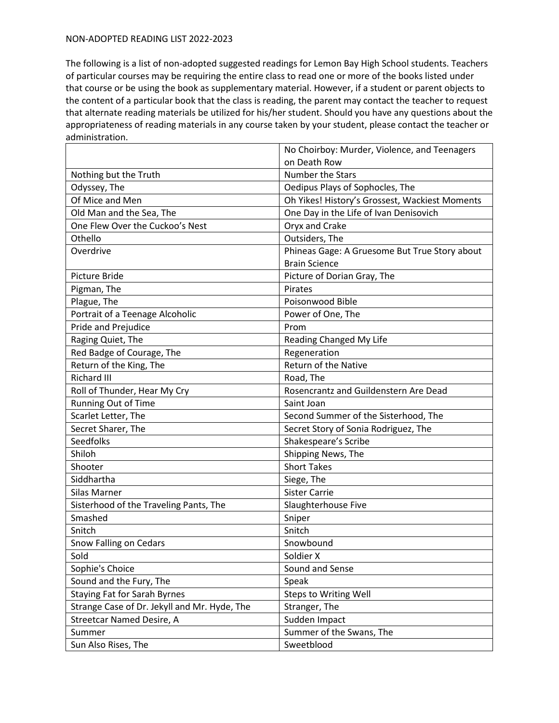|                                              | No Choirboy: Murder, Violence, and Teenagers   |
|----------------------------------------------|------------------------------------------------|
|                                              | on Death Row                                   |
| Nothing but the Truth                        | <b>Number the Stars</b>                        |
| Odyssey, The                                 | Oedipus Plays of Sophocles, The                |
| Of Mice and Men                              | Oh Yikes! History's Grossest, Wackiest Moments |
| Old Man and the Sea, The                     | One Day in the Life of Ivan Denisovich         |
| One Flew Over the Cuckoo's Nest              | Oryx and Crake                                 |
| Othello                                      | Outsiders, The                                 |
| Overdrive                                    | Phineas Gage: A Gruesome But True Story about  |
|                                              | <b>Brain Science</b>                           |
| <b>Picture Bride</b>                         | Picture of Dorian Gray, The                    |
| Pigman, The                                  | Pirates                                        |
| Plague, The                                  | Poisonwood Bible                               |
| Portrait of a Teenage Alcoholic              | Power of One, The                              |
| Pride and Prejudice                          | Prom                                           |
| Raging Quiet, The                            | Reading Changed My Life                        |
| Red Badge of Courage, The                    | Regeneration                                   |
| Return of the King, The                      | Return of the Native                           |
| <b>Richard III</b>                           | Road, The                                      |
| Roll of Thunder, Hear My Cry                 | Rosencrantz and Guildenstern Are Dead          |
| Running Out of Time                          | Saint Joan                                     |
| Scarlet Letter, The                          | Second Summer of the Sisterhood, The           |
| Secret Sharer, The                           | Secret Story of Sonia Rodriguez, The           |
| Seedfolks                                    | Shakespeare's Scribe                           |
| Shiloh                                       | Shipping News, The                             |
| Shooter                                      | <b>Short Takes</b>                             |
| Siddhartha                                   | Siege, The                                     |
| Silas Marner                                 | <b>Sister Carrie</b>                           |
| Sisterhood of the Traveling Pants, The       | Slaughterhouse Five                            |
| Smashed                                      | Sniper                                         |
| Snitch                                       | Snitch                                         |
| Snow Falling on Cedars                       | Snowbound                                      |
| Sold                                         | Soldier X                                      |
| Sophie's Choice                              | Sound and Sense                                |
| Sound and the Fury, The                      | Speak                                          |
| <b>Staying Fat for Sarah Byrnes</b>          | <b>Steps to Writing Well</b>                   |
| Strange Case of Dr. Jekyll and Mr. Hyde, The | Stranger, The                                  |
| <b>Streetcar Named Desire, A</b>             | Sudden Impact                                  |
| Summer                                       | Summer of the Swans, The                       |
| Sun Also Rises, The                          | Sweetblood                                     |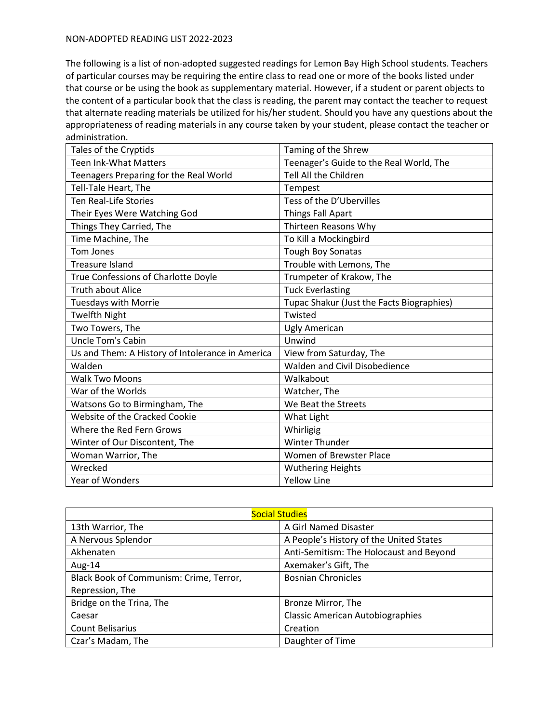| Tales of the Cryptids                            | Taming of the Shrew                       |
|--------------------------------------------------|-------------------------------------------|
| <b>Teen Ink-What Matters</b>                     | Teenager's Guide to the Real World, The   |
| Teenagers Preparing for the Real World           | <b>Tell All the Children</b>              |
| Tell-Tale Heart, The                             | Tempest                                   |
| <b>Ten Real-Life Stories</b>                     | Tess of the D'Ubervilles                  |
| Their Eyes Were Watching God                     | <b>Things Fall Apart</b>                  |
| Things They Carried, The                         | Thirteen Reasons Why                      |
| Time Machine, The                                | To Kill a Mockingbird                     |
| Tom Jones                                        | Tough Boy Sonatas                         |
| Treasure Island                                  | Trouble with Lemons, The                  |
| True Confessions of Charlotte Doyle              | Trumpeter of Krakow, The                  |
| <b>Truth about Alice</b>                         | <b>Tuck Everlasting</b>                   |
| Tuesdays with Morrie                             | Tupac Shakur (Just the Facts Biographies) |
| <b>Twelfth Night</b>                             | Twisted                                   |
| Two Towers, The                                  | Ugly American                             |
| <b>Uncle Tom's Cabin</b>                         | Unwind                                    |
| Us and Them: A History of Intolerance in America | View from Saturday, The                   |
| Walden                                           | Walden and Civil Disobedience             |
| <b>Walk Two Moons</b>                            | Walkabout                                 |
| War of the Worlds                                | Watcher, The                              |
| Watsons Go to Birmingham, The                    | We Beat the Streets                       |
| Website of the Cracked Cookie                    | What Light                                |
| Where the Red Fern Grows                         | Whirligig                                 |
| Winter of Our Discontent, The                    | <b>Winter Thunder</b>                     |
| Woman Warrior, The                               | Women of Brewster Place                   |
| Wrecked                                          | <b>Wuthering Heights</b>                  |
| <b>Year of Wonders</b>                           | <b>Yellow Line</b>                        |

| <b>Social Studies</b>                   |                                         |
|-----------------------------------------|-----------------------------------------|
| 13th Warrior, The                       | A Girl Named Disaster                   |
| A Nervous Splendor                      | A People's History of the United States |
| Akhenaten                               | Anti-Semitism: The Holocaust and Beyond |
| Aug-14                                  | Axemaker's Gift, The                    |
| Black Book of Communism: Crime, Terror, | <b>Bosnian Chronicles</b>               |
| Repression, The                         |                                         |
| Bridge on the Trina, The                | Bronze Mirror, The                      |
| Caesar                                  | <b>Classic American Autobiographies</b> |
| Count Belisarius                        | Creation                                |
| Czar's Madam, The                       | Daughter of Time                        |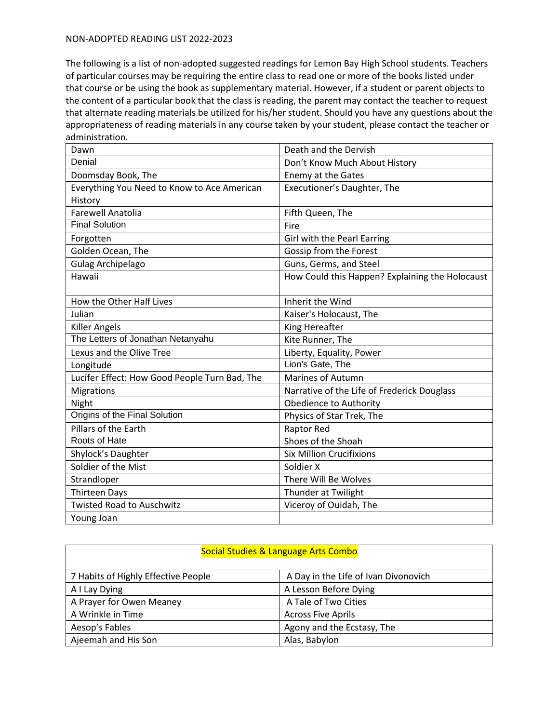| Dawn                                          | Death and the Dervish                           |
|-----------------------------------------------|-------------------------------------------------|
| Denial                                        | Don't Know Much About History                   |
| Doomsday Book, The                            | Enemy at the Gates                              |
| Everything You Need to Know to Ace American   | Executioner's Daughter, The                     |
| History                                       |                                                 |
| <b>Farewell Anatolia</b>                      | Fifth Queen, The                                |
| <b>Final Solution</b>                         | Fire                                            |
| Forgotten                                     | Girl with the Pearl Earring                     |
| Golden Ocean, The                             | Gossip from the Forest                          |
| <b>Gulag Archipelago</b>                      | Guns, Germs, and Steel                          |
| Hawaii                                        | How Could this Happen? Explaining the Holocaust |
|                                               |                                                 |
| How the Other Half Lives                      | Inherit the Wind                                |
| Julian                                        | Kaiser's Holocaust, The                         |
| <b>Killer Angels</b>                          | King Hereafter                                  |
| The Letters of Jonathan Netanyahu             | Kite Runner, The                                |
| Lexus and the Olive Tree                      | Liberty, Equality, Power                        |
| Longitude                                     | Lion's Gate, The                                |
| Lucifer Effect: How Good People Turn Bad, The | <b>Marines of Autumn</b>                        |
| Migrations                                    | Narrative of the Life of Frederick Douglass     |
| Night                                         | Obedience to Authority                          |
| Origins of the Final Solution                 | Physics of Star Trek, The                       |
| Pillars of the Earth                          | Raptor Red                                      |
| Roots of Hate                                 | Shoes of the Shoah                              |
| Shylock's Daughter                            | <b>Six Million Crucifixions</b>                 |
| Soldier of the Mist                           | Soldier X                                       |
| Strandloper                                   | There Will Be Wolves                            |
| <b>Thirteen Days</b>                          | Thunder at Twilight                             |
| <b>Twisted Road to Auschwitz</b>              | Viceroy of Ouidah, The                          |
| Young Joan                                    |                                                 |

| Social Studies & Language Arts Combo |                                      |
|--------------------------------------|--------------------------------------|
| 7 Habits of Highly Effective People  | A Day in the Life of Ivan Divonovich |
| A I Lay Dying                        | A Lesson Before Dying                |
| A Prayer for Owen Meaney             | A Tale of Two Cities                 |
| A Wrinkle in Time                    | <b>Across Five Aprils</b>            |
| Aesop's Fables                       | Agony and the Ecstasy, The           |
| Ajeemah and His Son                  | Alas, Babylon                        |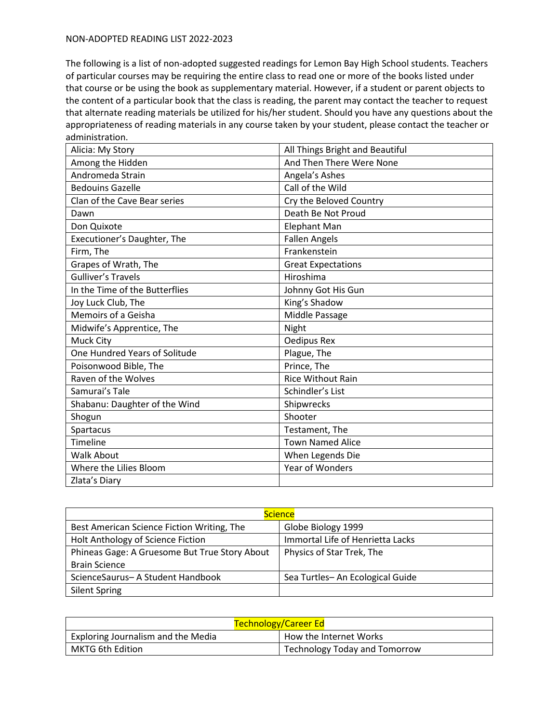| Alicia: My Story               | All Things Bright and Beautiful |
|--------------------------------|---------------------------------|
| Among the Hidden               | And Then There Were None        |
| Andromeda Strain               | Angela's Ashes                  |
| <b>Bedouins Gazelle</b>        | Call of the Wild                |
| Clan of the Cave Bear series   | Cry the Beloved Country         |
| Dawn                           | Death Be Not Proud              |
| Don Quixote                    | Elephant Man                    |
| Executioner's Daughter, The    | <b>Fallen Angels</b>            |
| Firm, The                      | Frankenstein                    |
| Grapes of Wrath, The           | <b>Great Expectations</b>       |
| <b>Gulliver's Travels</b>      | Hiroshima                       |
| In the Time of the Butterflies | Johnny Got His Gun              |
| Joy Luck Club, The             | King's Shadow                   |
| Memoirs of a Geisha            | Middle Passage                  |
| Midwife's Apprentice, The      | Night                           |
| Muck City                      | Oedipus Rex                     |
| One Hundred Years of Solitude  | Plague, The                     |
| Poisonwood Bible, The          | Prince, The                     |
| Raven of the Wolves            | <b>Rice Without Rain</b>        |
| Samurai's Tale                 | Schindler's List                |
| Shabanu: Daughter of the Wind  | Shipwrecks                      |
| Shogun                         | Shooter                         |
| Spartacus                      | Testament, The                  |
| Timeline                       | <b>Town Named Alice</b>         |
| <b>Walk About</b>              | When Legends Die                |
| Where the Lilies Bloom         | <b>Year of Wonders</b>          |
| Zlata's Diary                  |                                 |

| <b>Science</b>                                |                                  |
|-----------------------------------------------|----------------------------------|
| Best American Science Fiction Writing, The    | Globe Biology 1999               |
| Holt Anthology of Science Fiction             | Immortal Life of Henrietta Lacks |
| Phineas Gage: A Gruesome But True Story About | Physics of Star Trek, The        |
| <b>Brain Science</b>                          |                                  |
| ScienceSaurus- A Student Handbook             | Sea Turtles-An Ecological Guide  |
| <b>Silent Spring</b>                          |                                  |

| <b>Technology/Career Ed</b>        |                                      |
|------------------------------------|--------------------------------------|
| Exploring Journalism and the Media | How the Internet Works               |
| <b>MKTG 6th Edition</b>            | <b>Technology Today and Tomorrow</b> |